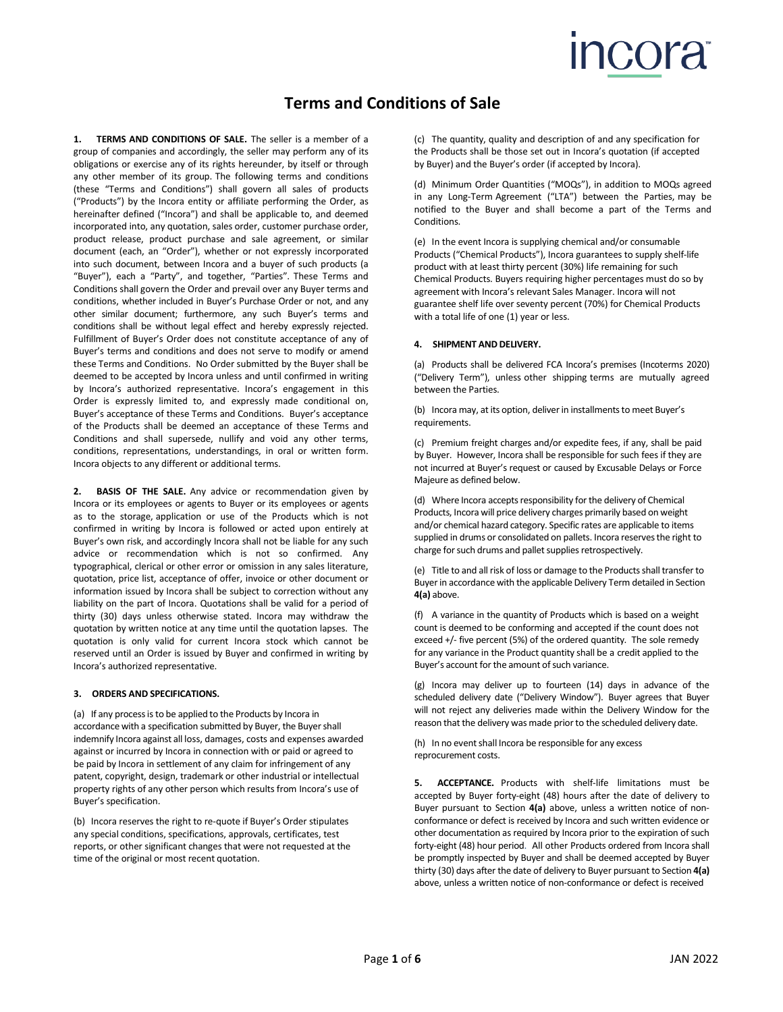# **ICOra**

## **Terms and Conditions of Sale**

**1. TERMS AND CONDITIONS OF SALE.** The seller is a member of a group of companies and accordingly, the seller may perform any of its obligations or exercise any of its rights hereunder, by itself or through any other member of its group. The following terms and conditions (these "Terms and Conditions") shall govern all sales of products ("Products") by the Incora entity or affiliate performing the Order, as hereinafter defined ("Incora") and shall be applicable to, and deemed incorporated into, any quotation, sales order, customer purchase order, product release, product purchase and sale agreement, or similar document (each, an "Order"), whether or not expressly incorporated into such document, between Incora and a buyer of such products (a "Buyer"), each a "Party", and together, "Parties". These Terms and Conditions shall govern the Order and prevail over any Buyer terms and conditions, whether included in Buyer's Purchase Order or not, and any other similar document; furthermore, any such Buyer's terms and conditions shall be without legal effect and hereby expressly rejected. Fulfillment of Buyer's Order does not constitute acceptance of any of Buyer's terms and conditions and does not serve to modify or amend these Terms and Conditions. No Order submitted by the Buyer shall be deemed to be accepted by Incora unless and until confirmed in writing by Incora's authorized representative. Incora's engagement in this Order is expressly limited to, and expressly made conditional on, Buyer's acceptance of these Terms and Conditions. Buyer's acceptance of the Products shall be deemed an acceptance of these Terms and Conditions and shall supersede, nullify and void any other terms, conditions, representations, understandings, in oral or written form. Incora objects to any different or additional terms.

**2. BASIS OF THE SALE.** Any advice or recommendation given by Incora or its employees or agents to Buyer or its employees or agents as to the storage, application or use of the Products which is not confirmed in writing by Incora is followed or acted upon entirely at Buyer's own risk, and accordingly Incora shall not be liable for any such advice or recommendation which is not so confirmed. Any typographical, clerical or other error or omission in any sales literature, quotation, price list, acceptance of offer, invoice or other document or information issued by Incora shall be subject to correction without any liability on the part of Incora. Quotations shall be valid for a period of thirty (30) days unless otherwise stated. Incora may withdraw the quotation by written notice at any time until the quotation lapses. The quotation is only valid for current Incora stock which cannot be reserved until an Order is issued by Buyer and confirmed in writing by Incora's authorized representative.

#### **3. ORDERS AND SPECIFICATIONS.**

(a) If any processisto be applied to the Products by Incora in accordance with a specification submitted by Buyer, the Buyer shall indemnify Incora against all loss, damages, costs and expenses awarded against or incurred by Incora in connection with or paid or agreed to be paid by Incora in settlement of any claim for infringement of any patent, copyright, design, trademark or other industrial or intellectual property rights of any other person which results from Incora's use of Buyer's specification.

(b) Incora reserves the right to re-quote if Buyer's Order stipulates any special conditions, specifications, approvals, certificates, test reports, or other significant changes that were not requested at the time of the original or most recent quotation.

(c) The quantity, quality and description of and any specification for the Products shall be those set out in Incora's quotation (if accepted by Buyer) and the Buyer's order (if accepted by Incora).

(d) Minimum Order Quantities ("MOQs"), in addition to MOQs agreed in any Long-Term Agreement ("LTA") between the Parties, may be notified to the Buyer and shall become a part of the Terms and Conditions.

(e) In the event Incora is supplying chemical and/or consumable Products ("Chemical Products"), Incora guarantees to supply shelf-life product with at least thirty percent (30%) life remaining for such Chemical Products. Buyers requiring higher percentages must do so by agreement with Incora's relevant Sales Manager. Incora will not guarantee shelf life over seventy percent (70%) for Chemical Products with a total life of one (1) year or less.

#### **4. SHIPMENT AND DELIVERY.**

(a) Products shall be delivered FCA Incora's premises (Incoterms 2020) ("Delivery Term"), unless other shipping terms are mutually agreed between the Parties.

(b) Incora may, at its option, deliver in installments to meet Buyer's requirements.

(c) Premium freight charges and/or expedite fees, if any, shall be paid by Buyer. However, Incora shall be responsible for such fees if they are not incurred at Buyer's request or caused by Excusable Delays or Force Majeure as defined below.

(d) Where Incora accepts responsibility for the delivery of Chemical Products, Incora will price delivery charges primarily based on weight and/or chemical hazard category. Specific rates are applicable to items supplied in drums or consolidated on pallets. Incora reserves the right to charge for such drums and pallet supplies retrospectively.

(e) Title to and all risk of loss or damage to the Products shall transfer to Buyer in accordance with the applicable Delivery Term detailed in Section **4(a)** above.

(f) A variance in the quantity of Products which is based on a weight count is deemed to be conforming and accepted if the count does not exceed +/- five percent (5%) of the ordered quantity. The sole remedy for any variance in the Product quantity shall be a credit applied to the Buyer's account for the amount of such variance.

(g) Incora may deliver up to fourteen (14) days in advance of the scheduled delivery date ("Delivery Window"). Buyer agrees that Buyer will not reject any deliveries made within the Delivery Window for the reason that the delivery was made prior to the scheduled delivery date.

(h) In no event shall Incora be responsible for any excess reprocurement costs.

**5. ACCEPTANCE.** Products with shelf-life limitations must be accepted by Buyer forty-eight (48) hours after the date of delivery to Buyer pursuant to Section **4(a)** above, unless a written notice of nonconformance or defect is received by Incora and such written evidence or other documentation as required by Incora prior to the expiration of such forty-eight (48) hour period. All other Products ordered from Incora shall be promptly inspected by Buyer and shall be deemed accepted by Buyer thirty (30) days after the date of delivery to Buyer pursuant to Section **4(a)** above, unless a written notice of non-conformance or defect is received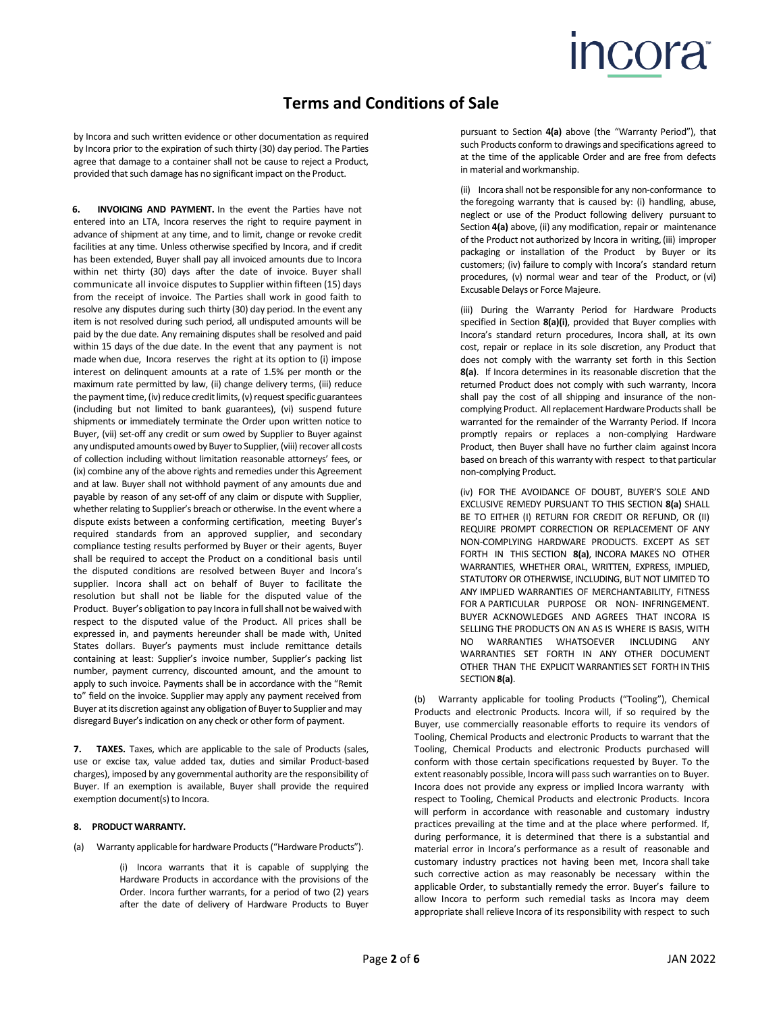## **COra**

### **Terms and Conditions of Sale**

by Incora and such written evidence or other documentation as required by Incora prior to the expiration of such thirty (30) day period. The Parties agree that damage to a container shall not be cause to reject a Product, provided that such damage has no significant impact on the Product.

**6. INVOICING AND PAYMENT.** In the event the Parties have not entered into an LTA, Incora reserves the right to require payment in advance of shipment at any time, and to limit, change or revoke credit facilities at any time. Unless otherwise specified by Incora, and if credit has been extended, Buyer shall pay all invoiced amounts due to Incora within net thirty (30) days after the date of invoice. Buyer shall communicate all invoice disputes to Supplier within fifteen (15) days from the receipt of invoice. The Parties shall work in good faith to resolve any disputes during such thirty (30) day period. In the event any item is not resolved during such period, all undisputed amounts will be paid by the due date. Any remaining disputes shall be resolved and paid within 15 days of the due date. In the event that any payment is not made when due, Incora reserves the right at its option to (i) impose interest on delinquent amounts at a rate of 1.5% per month or the maximum rate permitted by law, (ii) change delivery terms, (iii) reduce the payment time, (iv) reduce credit limits, (v) request specific guarantees (including but not limited to bank guarantees), (vi) suspend future shipments or immediately terminate the Order upon written notice to Buyer, (vii) set-off any credit or sum owed by Supplier to Buyer against any undisputed amounts owed by Buyer to Supplier, (viii) recover all costs of collection including without limitation reasonable attorneys' fees, or (ix) combine any of the above rights and remedies under this Agreement and at law. Buyer shall not withhold payment of any amounts due and payable by reason of any set-off of any claim or dispute with Supplier, whether relating to Supplier's breach or otherwise. In the event where a dispute exists between a conforming certification, meeting Buyer's required standards from an approved supplier, and secondary compliance testing results performed by Buyer or their agents, Buyer shall be required to accept the Product on a conditional basis until the disputed conditions are resolved between Buyer and Incora's supplier. Incora shall act on behalf of Buyer to facilitate the resolution but shall not be liable for the disputed value of the Product. Buyer's obligation to pay Incora in full shall not be waived with respect to the disputed value of the Product. All prices shall be expressed in, and payments hereunder shall be made with, United States dollars. Buyer's payments must include remittance details containing at least: Supplier's invoice number, Supplier's packing list number, payment currency, discounted amount, and the amount to apply to such invoice. Payments shall be in accordance with the "Remit to" field on the invoice. Supplier may apply any payment received from Buyer at its discretion against any obligation of Buyer to Supplier and may disregard Buyer's indication on any check or other form of payment.

**7. TAXES.** Taxes, which are applicable to the sale of Products (sales, use or excise tax, value added tax, duties and similar Product-based charges), imposed by any governmental authority are the responsibility of Buyer. If an exemption is available, Buyer shall provide the required exemption document(s) to Incora.

#### **8. PRODUCT WARRANTY.**

(a) Warranty applicable for hardware Products("Hardware Products").

(i) Incora warrants that it is capable of supplying the Hardware Products in accordance with the provisions of the Order. Incora further warrants, for a period of two (2) years after the date of delivery of Hardware Products to Buyer pursuant to Section **4(a)** above (the "Warranty Period"), that such Products conform to drawings and specifications agreed to at the time of the applicable Order and are free from defects in material and workmanship.

(ii) Incora shall not be responsible for any non-conformance to the foregoing warranty that is caused by: (i) handling, abuse, neglect or use of the Product following delivery pursuant to Section **4(a)** above, (ii) any modification, repair or maintenance of the Product not authorized by Incora in writing,(iii) improper packaging or installation of the Product by Buyer or its customers; (iv) failure to comply with Incora's standard return procedures, (v) normal wear and tear of the Product, or (vi) Excusable Delays or Force Majeure.

(iii) During the Warranty Period for Hardware Products specified in Section **8(a)(i)**, provided that Buyer complies with Incora's standard return procedures, Incora shall, at its own cost, repair or replace in its sole discretion, any Product that does not comply with the warranty set forth in this Section **8(a)**. If Incora determines in its reasonable discretion that the returned Product does not comply with such warranty, Incora shall pay the cost of all shipping and insurance of the noncomplying Product. All replacement Hardware Products shall be warranted for the remainder of the Warranty Period. If Incora promptly repairs or replaces a non-complying Hardware Product, then Buyer shall have no further claim against Incora based on breach of this warranty with respect to that particular non-complying Product.

(iv) FOR THE AVOIDANCE OF DOUBT, BUYER'S SOLE AND EXCLUSIVE REMEDY PURSUANT TO THIS SECTION **8(a)** SHALL BE TO EITHER (I) RETURN FOR CREDIT OR REFUND, OR (II) REQUIRE PROMPT CORRECTION OR REPLACEMENT OF ANY NON-COMPLYING HARDWARE PRODUCTS. EXCEPT AS SET FORTH IN THIS SECTION **8(a)**, INCORA MAKES NO OTHER WARRANTIES, WHETHER ORAL, WRITTEN, EXPRESS, IMPLIED, STATUTORY OR OTHERWISE, INCLUDING, BUT NOT LIMITED TO ANY IMPLIED WARRANTIES OF MERCHANTABILITY, FITNESS FOR A PARTICULAR PURPOSE OR NON- INFRINGEMENT. BUYER ACKNOWLEDGES AND AGREES THAT INCORA IS SELLING THE PRODUCTS ON AN AS IS WHERE IS BASIS, WITH NO WARRANTIES WHATSOEVER INCLUDING ANY WARRANTIES SET FORTH IN ANY OTHER DOCUMENT OTHER THAN THE EXPLICIT WARRANTIES SET FORTH INTHIS SECTION**8(a)**.

(b) Warranty applicable for tooling Products ("Tooling"), Chemical Products and electronic Products. Incora will, if so required by the Buyer, use commercially reasonable efforts to require its vendors of Tooling, Chemical Products and electronic Products to warrant that the Tooling, Chemical Products and electronic Products purchased will conform with those certain specifications requested by Buyer. To the extent reasonably possible, Incora will pass such warranties on to Buyer. Incora does not provide any express or implied Incora warranty with respect to Tooling, Chemical Products and electronic Products. Incora will perform in accordance with reasonable and customary industry practices prevailing at the time and at the place where performed. If, during performance, it is determined that there is a substantial and material error in Incora's performance as a result of reasonable and customary industry practices not having been met, Incora shall take such corrective action as may reasonably be necessary within the applicable Order, to substantially remedy the error. Buyer's failure to allow Incora to perform such remedial tasks as Incora may deem appropriate shall relieve Incora of its responsibility with respect to such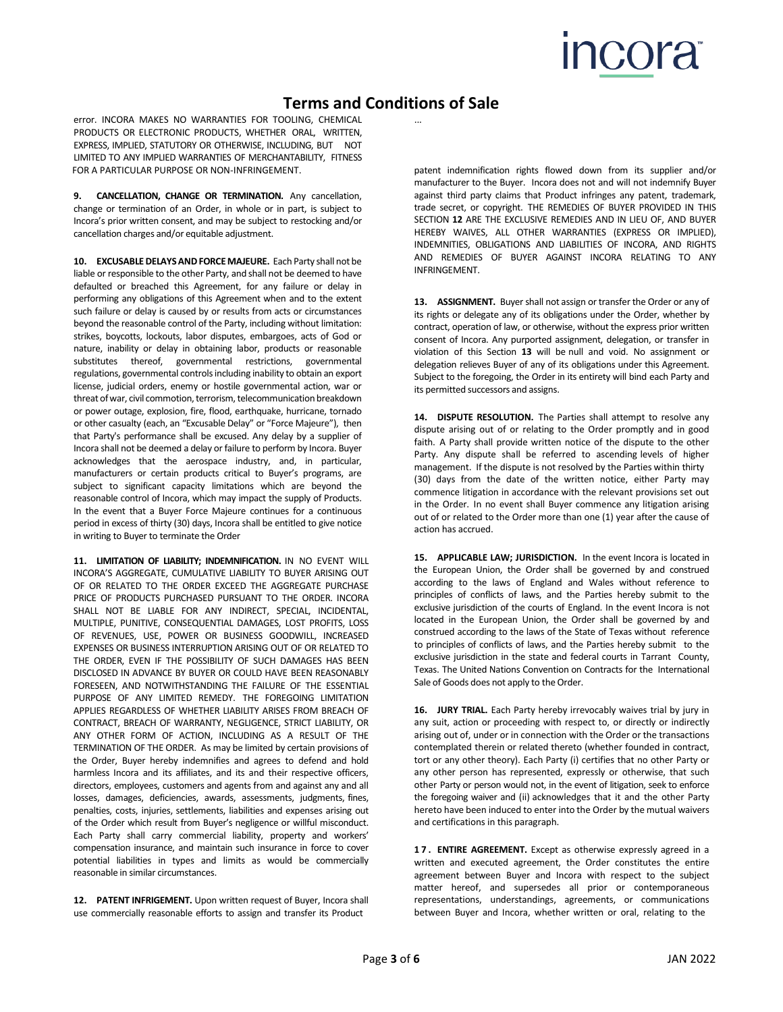# **INCORA**

## **Terms and Conditions of Sale**

error. INCORA MAKES NO WARRANTIES FOR TOOLING, CHEMICAL PRODUCTS OR ELECTRONIC PRODUCTS, WHETHER ORAL, WRITTEN, EXPRESS, IMPLIED, STATUTORY OR OTHERWISE, INCLUDING, BUT NOT LIMITED TO ANY IMPLIED WARRANTIES OF MERCHANTABILITY, FITNESS FOR A PARTICULAR PURPOSE OR NON-INFRINGEMENT.

**9. CANCELLATION, CHANGE OR TERMINATION.** Any cancellation, change or termination of an Order, in whole or in part, is subject to Incora's prior written consent, and may be subject to restocking and/or cancellation charges and/or equitable adjustment.

**10. EXCUSABLEDELAYSANDFORCEMAJEURE.** Each Party shall not be liable or responsible to the other Party, and shall not be deemed to have defaulted or breached this Agreement, for any failure or delay in performing any obligations of this Agreement when and to the extent such failure or delay is caused by or results from acts or circumstances beyond the reasonable control of the Party, including without limitation: strikes, boycotts, lockouts, labor disputes, embargoes, acts of God or nature, inability or delay in obtaining labor, products or reasonable substitutes thereof, governmental restrictions, governmental regulations, governmental controls including inability to obtain an export license, judicial orders, enemy or hostile governmental action, war or threat of war, civil commotion, terrorism, telecommunication breakdown or power outage, explosion, fire, flood, earthquake, hurricane, tornado or other casualty (each, an "Excusable Delay" or "Force Majeure"), then that Party's performance shall be excused. Any delay by a supplier of Incora shall not be deemed a delay or failure to perform by Incora. Buyer acknowledges that the aerospace industry, and, in particular, manufacturers or certain products critical to Buyer's programs, are subject to significant capacity limitations which are beyond the reasonable control of Incora, which may impact the supply of Products. In the event that a Buyer Force Majeure continues for a continuous period in excess of thirty (30) days, Incora shall be entitled to give notice in writing to Buyer to terminate the Order

**11. LIMITATION OF LIABILITY; INDEMNIFICATION.** IN NO EVENT WILL INCORA'S AGGREGATE, CUMULATIVE LIABILITY TO BUYER ARISING OUT OF OR RELATED TO THE ORDER EXCEED THE AGGREGATE PURCHASE PRICE OF PRODUCTS PURCHASED PURSUANT TO THE ORDER. INCORA SHALL NOT BE LIABLE FOR ANY INDIRECT, SPECIAL, INCIDENTAL, MULTIPLE, PUNITIVE, CONSEQUENTIAL DAMAGES, LOST PROFITS, LOSS OF REVENUES, USE, POWER OR BUSINESS GOODWILL, INCREASED EXPENSES OR BUSINESS INTERRUPTION ARISING OUT OF OR RELATED TO THE ORDER, EVEN IF THE POSSIBILITY OF SUCH DAMAGES HAS BEEN DISCLOSED IN ADVANCE BY BUYER OR COULD HAVE BEEN REASONABLY FORESEEN, AND NOTWITHSTANDING THE FAILURE OF THE ESSENTIAL PURPOSE OF ANY LIMITED REMEDY. THE FOREGOING LIMITATION APPLIES REGARDLESS OF WHETHER LIABILITY ARISES FROM BREACH OF CONTRACT, BREACH OF WARRANTY, NEGLIGENCE, STRICT LIABILITY, OR ANY OTHER FORM OF ACTION, INCLUDING AS A RESULT OF THE TERMINATION OF THE ORDER. As may be limited by certain provisions of the Order, Buyer hereby indemnifies and agrees to defend and hold harmless Incora and its affiliates, and its and their respective officers, directors, employees, customers and agents from and against any and all losses, damages, deficiencies, awards, assessments, judgments, fines, penalties, costs, injuries, settlements, liabilities and expenses arising out of the Order which result from Buyer's negligence or willful misconduct. Each Party shall carry commercial liability, property and workers' compensation insurance, and maintain such insurance in force to cover potential liabilities in types and limits as would be commercially reasonable in similar circumstances.

**12. PATENT INFRIGEMENT.** Upon written request of Buyer, Incora shall use commercially reasonable efforts to assign and transfer its Product

...

patent indemnification rights flowed down from its supplier and/or manufacturer to the Buyer. Incora does not and will not indemnify Buyer against third party claims that Product infringes any patent, trademark, trade secret, or copyright. THE REMEDIES OF BUYER PROVIDED IN THIS SECTION **12** ARE THE EXCLUSIVE REMEDIES AND IN LIEU OF, AND BUYER HEREBY WAIVES, ALL OTHER WARRANTIES (EXPRESS OR IMPLIED), INDEMNITIES, OBLIGATIONS AND LIABILITIES OF INCORA, AND RIGHTS AND REMEDIES OF BUYER AGAINST INCORA RELATING TO ANY INFRINGEMENT.

13. **ASSIGNMENT.** Buyer shall not assign or transfer the Order or any of its rights or delegate any of its obligations under the Order, whether by contract, operation of law, or otherwise, without the express prior written consent of Incora. Any purported assignment, delegation, or transfer in violation of this Section **13** will be null and void. No assignment or delegation relieves Buyer of any of its obligations under this Agreement. Subject to the foregoing, the Order in its entirety will bind each Party and its permitted successors and assigns.

**14. DISPUTE RESOLUTION.** The Parties shall attempt to resolve any dispute arising out of or relating to the Order promptly and in good faith. A Party shall provide written notice of the dispute to the other Party. Any dispute shall be referred to ascending levels of higher management. If the dispute is not resolved by the Parties within thirty (30) days from the date of the written notice, either Party may commence litigation in accordance with the relevant provisions set out in the Order. In no event shall Buyer commence any litigation arising out of or related to the Order more than one (1) year after the cause of action has accrued.

**15. APPLICABLE LAW; JURISDICTION.** In the event Incora is located in the European Union, the Order shall be governed by and construed according to the laws of England and Wales without reference to principles of conflicts of laws, and the Parties hereby submit to the exclusive jurisdiction of the courts of England. In the event Incora is not located in the European Union, the Order shall be governed by and construed according to the laws of the State of Texas without reference to principles of conflicts of laws, and the Parties hereby submit to the exclusive jurisdiction in the state and federal courts in Tarrant County, Texas. The United Nations Convention on Contracts for the International Sale of Goods does not apply to the Order.

**16. JURY TRIAL.** Each Party hereby irrevocably waives trial by jury in any suit, action or proceeding with respect to, or directly or indirectly arising out of, under or in connection with the Order or the transactions contemplated therein or related thereto (whether founded in contract, tort or any other theory). Each Party (i) certifies that no other Party or any other person has represented, expressly or otherwise, that such other Party or person would not, in the event of litigation, seek to enforce the foregoing waiver and (ii) acknowledges that it and the other Party hereto have been induced to enter into the Order by the mutual waivers and certifications in this paragraph.

**17. ENTIRE AGREEMENT.** Except as otherwise expressly agreed in a written and executed agreement, the Order constitutes the entire agreement between Buyer and Incora with respect to the subject matter hereof, and supersedes all prior or contemporaneous representations, understandings, agreements, or communications between Buyer and Incora, whether written or oral, relating to the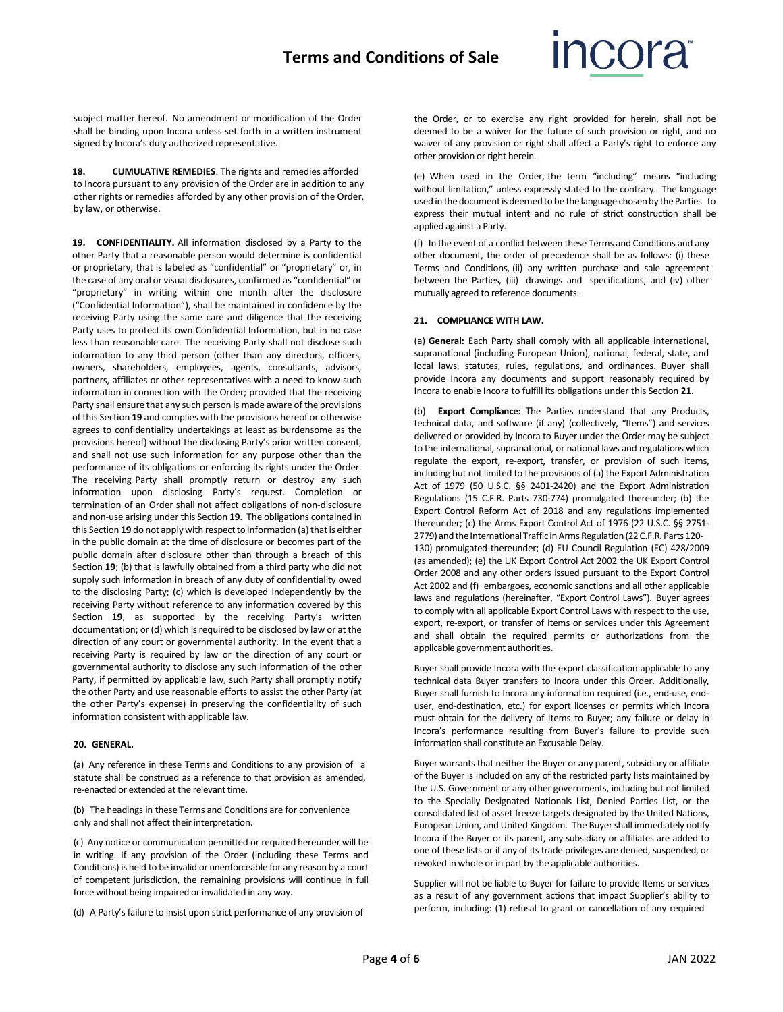

subject matter hereof. No amendment or modification of the Order shall be binding upon Incora unless set forth in a written instrument signed by Incora's duly authorized representative.

**18. CUMULATIVE REMEDIES**. The rights and remedies afforded to Incora pursuant to any provision of the Order are in addition to any other rights or remedies afforded by any other provision of the Order, by law, or otherwise.

**19. CONFIDENTIALITY.** All information disclosed by a Party to the other Party that a reasonable person would determine is confidential or proprietary, that is labeled as "confidential" or "proprietary" or, in the case of any oral or visual disclosures, confirmed as "confidential" or "proprietary" in writing within one month after the disclosure ("Confidential Information"), shall be maintained in confidence by the receiving Party using the same care and diligence that the receiving Party uses to protect its own Confidential Information, but in no case less than reasonable care. The receiving Party shall not disclose such information to any third person (other than any directors, officers, owners, shareholders, employees, agents, consultants, advisors, partners, affiliates or other representatives with a need to know such information in connection with the Order; provided that the receiving Party shall ensure that any such person is made aware of the provisions of this Section **19** and complies with the provisions hereof or otherwise agrees to confidentiality undertakings at least as burdensome as the provisions hereof) without the disclosing Party's prior written consent, and shall not use such information for any purpose other than the performance of its obligations or enforcing its rights under the Order. The receiving Party shall promptly return or destroy any such information upon disclosing Party's request. Completion or termination of an Order shall not affect obligations of non-disclosure and non-use arising under this Section **19**. The obligations contained in this Section 19 do not apply with respect to information (a) that is either in the public domain at the time of disclosure or becomes part of the public domain after disclosure other than through a breach of this Section **19**; (b) that is lawfully obtained from a third party who did not supply such information in breach of any duty of confidentiality owed to the disclosing Party; (c) which is developed independently by the receiving Party without reference to any information covered by this Section **19**, as supported by the receiving Party's written documentation; or (d) which is required to be disclosed by law or at the direction of any court or governmental authority. In the event that a receiving Party is required by law or the direction of any court or governmental authority to disclose any such information of the other Party, if permitted by applicable law, such Party shall promptly notify the other Party and use reasonable efforts to assist the other Party (at the other Party's expense) in preserving the confidentiality of such information consistent with applicable law.

#### **20. GENERAL.**

(a) Any reference in these Terms and Conditions to any provision of a statute shall be construed as a reference to that provision as amended, re-enacted or extended at the relevant time.

(b) The headings in these Terms and Conditions are for convenience only and shall not affect their interpretation.

(c) Any notice or communication permitted or required hereunder will be in writing. If any provision of the Order (including these Terms and Conditions) is held to be invalid or unenforceable for any reason by a court of competent jurisdiction, the remaining provisions will continue in full force without being impaired or invalidated in any way.

(d) A Party's failure to insist upon strict performance of any provision of

the Order, or to exercise any right provided for herein, shall not be deemed to be a waiver for the future of such provision or right, and no waiver of any provision or right shall affect a Party's right to enforce any other provision or right herein.

(e) When used in the Order, the term "including" means "including without limitation," unless expressly stated to the contrary. The language used in the document is deemed to be the language chosen by the Parties to express their mutual intent and no rule of strict construction shall be applied against a Party.

(f) In the event of a conflict between these Terms and Conditions and any other document, the order of precedence shall be as follows: (i) these Terms and Conditions, (ii) any written purchase and sale agreement between the Parties, (iii) drawings and specifications, and (iv) other mutually agreed to reference documents.

#### **21. COMPLIANCE WITH LAW.**

(a) **General:** Each Party shall comply with all applicable international, supranational (including European Union), national, federal, state, and local laws, statutes, rules, regulations, and ordinances. Buyer shall provide Incora any documents and support reasonably required by Incora to enable Incora to fulfill its obligations under this Section **21**.

(b) **Export Compliance:** The Parties understand that any Products, technical data, and software (if any) (collectively, "Items") and services delivered or provided by Incora to Buyer under the Order may be subject to the international, supranational, or national laws and regulations which regulate the export, re-export, transfer, or provision of such items, including but not limited to the provisions of (a) the Export Administration Act of 1979 (50 U.S.C. §§ 2401-2420) and the Export Administration Regulations (15 C.F.R. Parts 730-774) promulgated thereunder; (b) the Export Control Reform Act of 2018 and any regulations implemented thereunder; (c) the Arms Export Control Act of 1976 (22 U.S.C. §§ 2751- 2779) and the International Traffic in Arms Regulation (22 C.F.R. Parts 120-130) promulgated thereunder; (d) EU Council Regulation (EC) 428/2009 (as amended); (e) the UK Export Control Act 2002 the UK Export Control Order 2008 and any other orders issued pursuant to the Export Control Act 2002 and (f) embargoes, economic sanctions and all other applicable laws and regulations (hereinafter, "Export Control Laws"). Buyer agrees to comply with all applicable Export Control Laws with respect to the use, export, re-export, or transfer of Items or services under this Agreement and shall obtain the required permits or authorizations from the applicable government authorities.

Buyer shall provide Incora with the export classification applicable to any technical data Buyer transfers to Incora under this Order. Additionally, Buyer shall furnish to Incora any information required (i.e., end-use, enduser, end-destination, etc.) for export licenses or permits which Incora must obtain for the delivery of Items to Buyer; any failure or delay in Incora's performance resulting from Buyer's failure to provide such information shall constitute an Excusable Delay.

Buyer warrants that neither the Buyer or any parent, subsidiary or affiliate of the Buyer is included on any of the restricted party lists maintained by the U.S. Government or any other governments, including but not limited to the Specially Designated Nationals List, Denied Parties List, or the consolidated list of asset freeze targets designated by the United Nations, European Union, and United Kingdom. The Buyershall immediately notify Incora if the Buyer or its parent, any subsidiary or affiliates are added to one of these lists or if any of its trade privileges are denied, suspended, or revoked in whole or in part by the applicable authorities.

Supplier will not be liable to Buyer for failure to provide Items or services as a result of any government actions that impact Supplier's ability to perform, including: (1) refusal to grant or cancellation of any required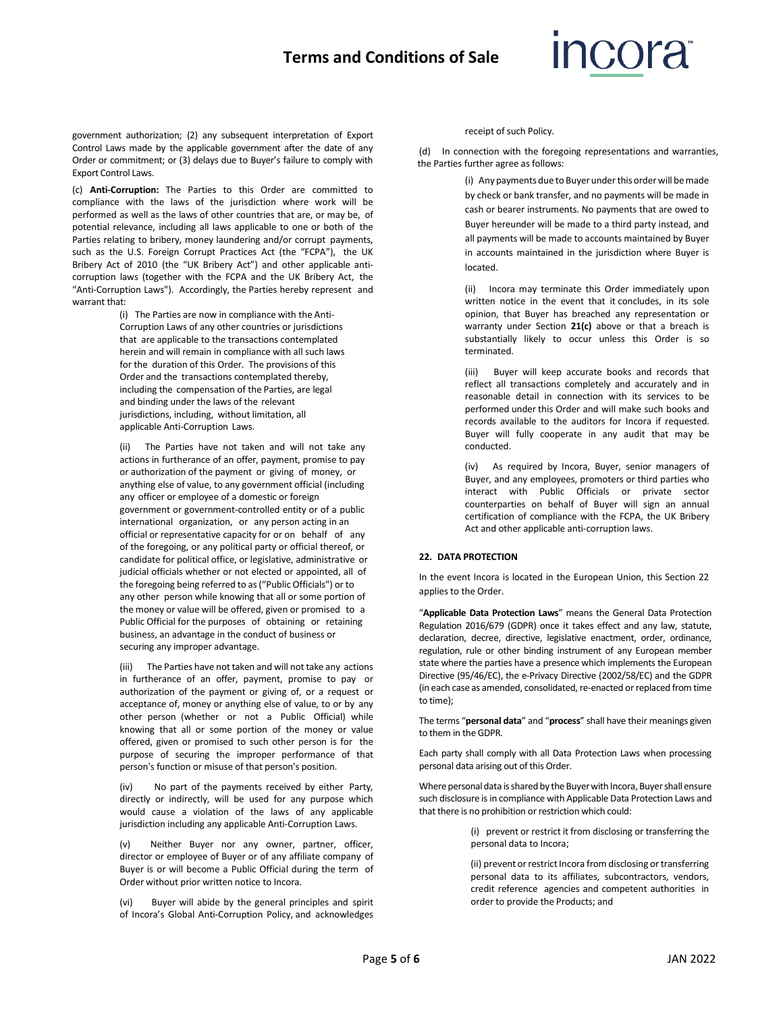### **Terms and Conditions of Sale**

## **Incora**

government authorization; (2) any subsequent interpretation of Export Control Laws made by the applicable government after the date of any Order or commitment; or (3) delays due to Buyer's failure to comply with Export Control Laws.

(c) **Anti-Corruption:** The Parties to this Order are committed to compliance with the laws of the jurisdiction where work will be performed as well as the laws of other countries that are, or may be, of potential relevance, including all laws applicable to one or both of the Parties relating to bribery, money laundering and/or corrupt payments, such as the U.S. Foreign Corrupt Practices Act (the "FCPA"), the UK Bribery Act of 2010 (the "UK Bribery Act") and other applicable anticorruption laws (together with the FCPA and the UK Bribery Act, the "Anti-Corruption Laws"). Accordingly, the Parties hereby represent and warrant that:

> (i) The Parties are now in compliance with the Anti-Corruption Laws of any other countries or jurisdictions that are applicable to the transactions contemplated herein and will remain in compliance with all such laws for the duration of this Order. The provisions of this Order and the transactions contemplated thereby, including the compensation of the Parties, are legal and binding under the laws of the relevant jurisdictions, including, without limitation, all applicable Anti-Corruption Laws.

(ii) The Parties have not taken and will not take any actions in furtherance of an offer, payment, promise to pay or authorization of the payment or giving of money, or anything else of value, to any government official (including any officer or employee of a domestic or foreign government or government-controlled entity or of a public international organization, or any person acting in an official or representative capacity for or on behalf of any of the foregoing, or any political party or official thereof, or candidate for political office, or legislative, administrative or judicial officials whether or not elected or appointed, all of the foregoing being referred to as("Public Officials") or to any other person while knowing that all or some portion of the money or value will be offered, given or promised to a Public Official for the purposes of obtaining or retaining business, an advantage in the conduct of business or securing any improper advantage.

(iii) The Parties have not taken and will not take any actions in furtherance of an offer, payment, promise to pay or authorization of the payment or giving of, or a request or acceptance of, money or anything else of value, to or by any other person (whether or not a Public Official) while knowing that all or some portion of the money or value offered, given or promised to such other person is for the purpose of securing the improper performance of that person's function or misuse of that person's position.

(iv) No part of the payments received by either Party, directly or indirectly, will be used for any purpose which would cause a violation of the laws of any applicable jurisdiction including any applicable Anti-Corruption Laws.

(v) Neither Buyer nor any owner, partner, officer, director or employee of Buyer or of any affiliate company of Buyer is or will become a Public Official during the term of Order without prior written notice to Incora.

(vi) Buyer will abide by the general principles and spirit of Incora's Global Anti-Corruption Policy, and acknowledges

receipt of such Policy.

(d) In connection with the foregoing representations and warranties, the Parties further agree as follows:

> (i) Any payments due to Buyer under this order will be made by check or bank transfer, and no payments will be made in cash or bearer instruments. No payments that are owed to Buyer hereunder will be made to a third party instead, and all payments will be made to accounts maintained by Buyer in accounts maintained in the jurisdiction where Buyer is located.

> (ii) Incora may terminate this Order immediately upon written notice in the event that it concludes, in its sole opinion, that Buyer has breached any representation or warranty under Section **21(c)** above or that a breach is substantially likely to occur unless this Order is so terminated.

> (iii) Buyer will keep accurate books and records that reflect all transactions completely and accurately and in reasonable detail in connection with its services to be performed under this Order and will make such books and records available to the auditors for Incora if requested. Buyer will fully cooperate in any audit that may be conducted.

> (iv) As required by Incora, Buyer, senior managers of Buyer, and any employees, promoters or third parties who interact with Public Officials or private sector counterparties on behalf of Buyer will sign an annual certification of compliance with the FCPA, the UK Bribery Act and other applicable anti-corruption laws.

### **22. DATA PROTECTION**

In the event Incora is located in the European Union, this Section 22 applies to the Order.

"**Applicable Data Protection Laws**" means the General Data Protection Regulation 2016/679 (GDPR) once it takes effect and any law, statute, declaration, decree, directive, legislative enactment, order, ordinance, regulation, rule or other binding instrument of any European member state where the parties have a presence which implements the European Directive (95/46/EC), the e-Privacy Directive (2002/58/EC) and the GDPR (in each case as amended, consolidated, re-enacted or replaced from time to time);

The terms "**personal data**" and "**process**" shall have their meanings given to them in theGDPR.

Each party shall comply with all Data Protection Laws when processing personal data arising out of this Order.

Where personal data is shared by the Buyer with Incora, Buyer shall ensure such disclosure is in compliance with Applicable Data Protection Laws and that there is no prohibition or restriction which could:

> (i) prevent or restrict it from disclosing or transferring the personal data to Incora;

> (ii) prevent or restrict Incora from disclosing or transferring personal data to its affiliates, subcontractors, vendors, credit reference agencies and competent authorities in order to provide the Products; and